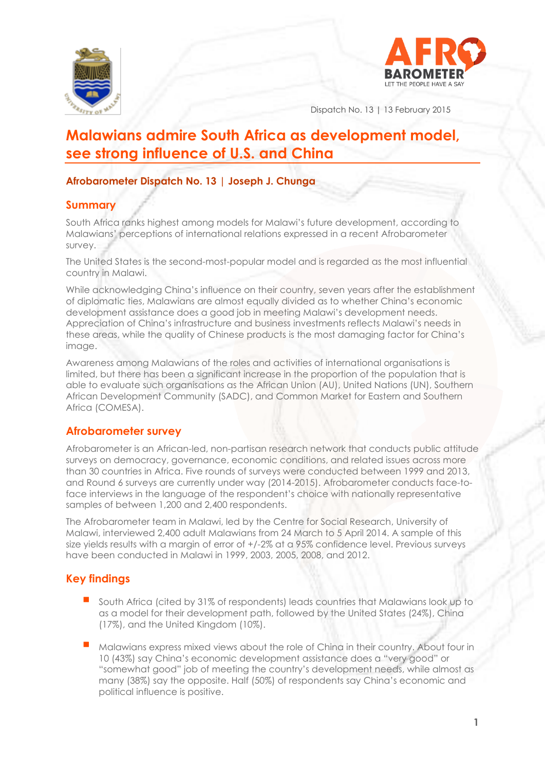



Dispatch No. 13 | 13 February 2015

# **Malawians admire South Africa as development model, see strong influence of U.S. and China**

## **Afrobarometer Dispatch No. 13 | Joseph J. Chunga**

## **Summary**

South Africa ranks highest among models for Malawi's future development, according to Malawians' perceptions of international relations expressed in a recent Afrobarometer survey.

The United States is the second-most-popular model and is regarded as the most influential country in Malawi.

While acknowledging China's influence on their country, seven years after the establishment of diplomatic ties, Malawians are almost equally divided as to whether China's economic development assistance does a good job in meeting Malawi's development needs. Appreciation of China's infrastructure and business investments reflects Malawi's needs in these areas, while the quality of Chinese products is the most damaging factor for China's image.

Awareness among Malawians of the roles and activities of international organisations is limited, but there has been a significant increase in the proportion of the population that is able to evaluate such organisations as the African Union (AU), United Nations (UN), Southern African Development Community (SADC), and Common Market for Eastern and Southern Africa (COMESA).

## **Afrobarometer survey**

Afrobarometer is an African-led, non-partisan research network that conducts public attitude surveys on democracy, governance, economic conditions, and related issues across more than 30 countries in Africa. Five rounds of surveys were conducted between 1999 and 2013, and Round 6 surveys are currently under way (2014-2015). Afrobarometer conducts face-toface interviews in the language of the respondent's choice with nationally representative samples of between 1,200 and 2,400 respondents.

The Afrobarometer team in Malawi, led by the Centre for Social Research, University of Malawi, interviewed 2,400 adult Malawians from 24 March to 5 April 2014. A sample of this size yields results with a margin of error of +/-2% at a 95% confidence level. Previous surveys have been conducted in Malawi in 1999, 2003, 2005, 2008, and 2012.

## **Key findings**

- South Africa (cited by 31% of respondents) leads countries that Malawians look up to as a model for their development path, followed by the United States (24%), China (17%), and the United Kingdom (10%).
- Malawians express mixed views about the role of China in their country. About four in 10 (43%) say China's economic development assistance does a "very good" or "somewhat good" job of meeting the country's development needs, while almost as many (38%) say the opposite. Half (50%) of respondents say China's economic and political influence is positive.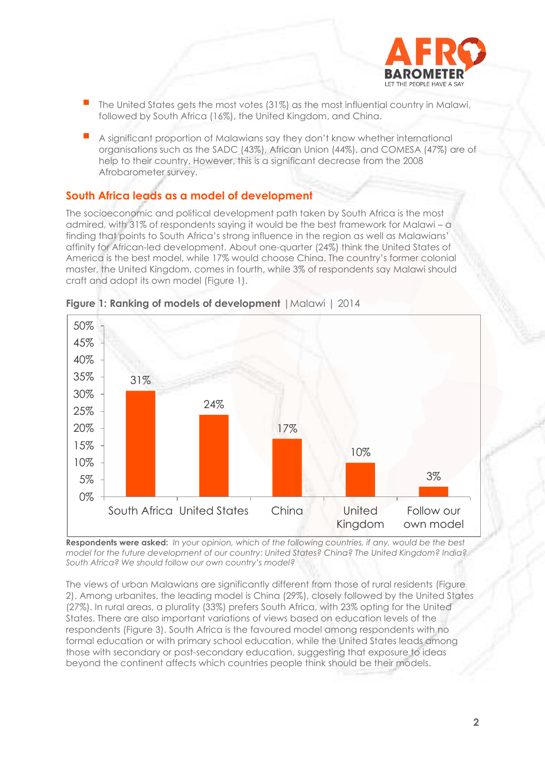

- The United States gets the most votes (31%) as the most influential country in Malawi, followed by South Africa (16%), the United Kingdom, and China.
- A significant proportion of Malawians say they don't know whether international organisations such as the SADC (43%), African Union (44%), and COMESA (47%) are of help to their country. However, this is a significant decrease from the 2008 Afrobarometer survey.

## **South Africa leads as a model of development**

The socioeconomic and political development path taken by South Africa is the most admired, with 31% of respondents saying it would be the best framework for Malawi – a finding that points to South Africa's strong influence in the region as well as Malawians' affinity for African-led development. About one-quarter (24%) think the United States of America is the best model, while 17% would choose China. The country's former colonial master, the United Kingdom, comes in fourth, while 3% of respondents say Malawi should craft and adopt its own model (Figure 1).





**Respondents were asked:** *In your opinion, which of the following countries, if any, would be the best model for the future development of our country: United States? China? The United Kingdom? India? South Africa? We should follow our own country's model?*

The views of urban Malawians are significantly different from those of rural residents (Figure 2). Among urbanites, the leading model is China (29%), closely followed by the United States (27%). In rural areas, a plurality (33%) prefers South Africa, with 23% opting for the United States. There are also important variations of views based on education levels of the respondents (Figure 3). South Africa is the favoured model among respondents with no formal education or with primary school education, while the United States leads among those with secondary or post-secondary education, suggesting that exposure to ideas beyond the continent affects which countries people think should be their models.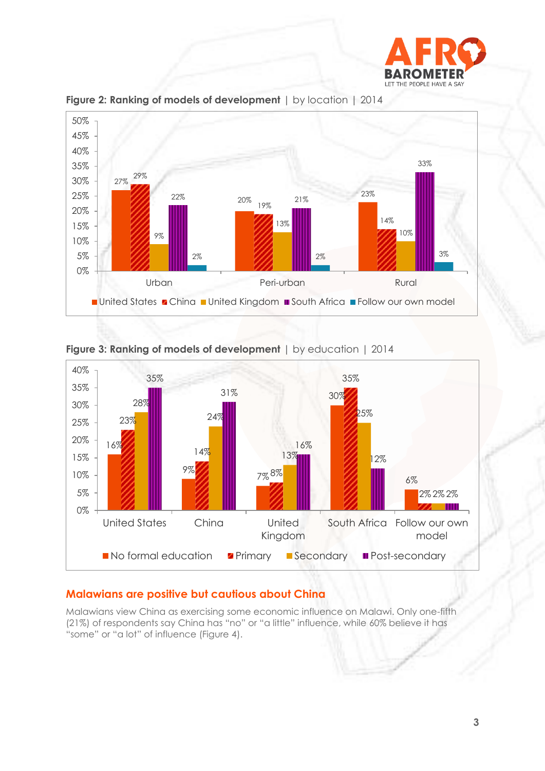



**Figure 2: Ranking of models of development** | by location | 2014



**Figure 3: Ranking of models of development** | by education | 2014

## **Malawians are positive but cautious about China**

Malawians view China as exercising some economic influence on Malawi. Only one-fifth (21%) of respondents say China has "no" or "a little" influence, while 60% believe it has "some" or "a lot" of influence (Figure 4).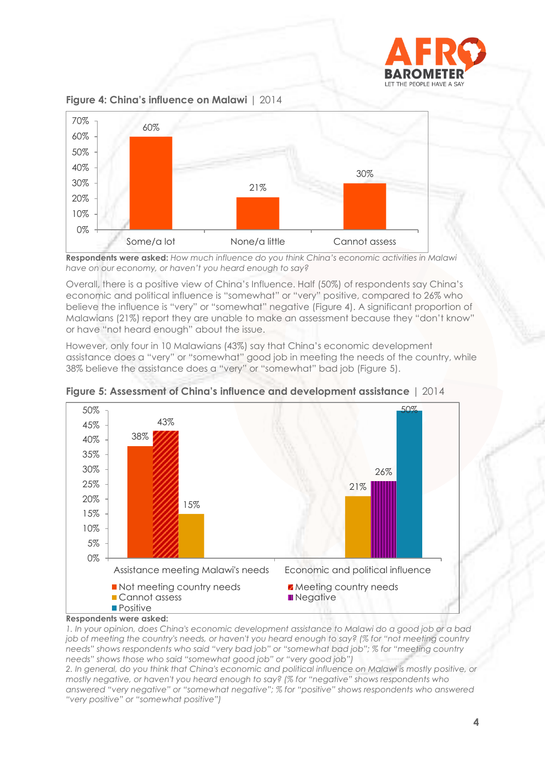





**Respondents were asked:** *How much influence do you think China's economic activities in Malawi have on our economy, or haven't you heard enough to say?* 

Overall, there is a positive view of China's Influence. Half (50%) of respondents say China's economic and political influence is "somewhat" or "very" positive, compared to 26% who believe the influence is "very" or "somewhat" negative (Figure 4). A significant proportion of Malawians (21%) report they are unable to make an assessment because they "don't know" or have "not heard enough" about the issue.

However, only four in 10 Malawians (43%) say that China's economic development assistance does a "very" or "somewhat" good job in meeting the needs of the country, while 38% believe the assistance does a "very" or "somewhat" bad job (Figure 5).



**Figure 5: Assessment of China's influence and development assistance** | 2014

**Respondents were asked:**

*1. In your opinion, does China's economic development assistance to Malawi do a good job or a bad job of meeting the country's needs, or haven't you heard enough to say? (% for "not meeting country needs" shows respondents who said "very bad job" or "somewhat bad job"; % for "meeting country needs" shows those who said "somewhat good job" or "very good job")*

*2. In general, do you think that China's economic and political influence on Malawi is mostly positive, or mostly negative, or haven't you heard enough to say? (% for "negative" shows respondents who answered "very negative" or "somewhat negative"; % for "positive" shows respondents who answered "very positive" or "somewhat positive")*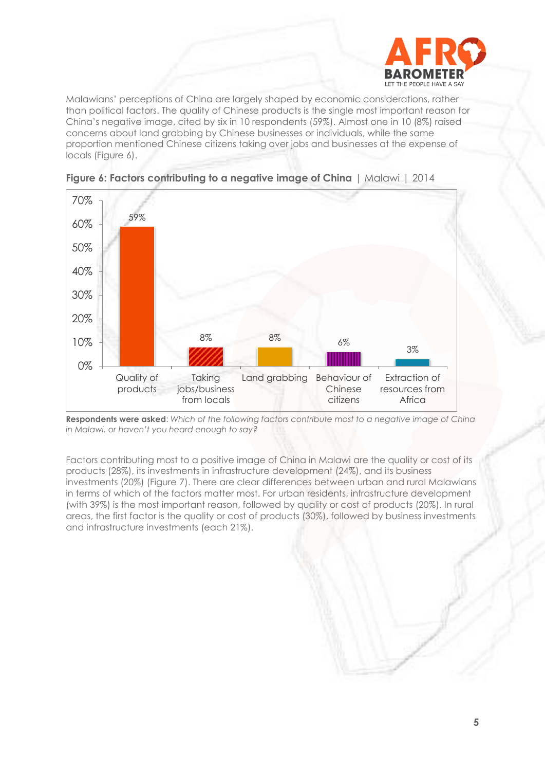

Malawians' perceptions of China are largely shaped by economic considerations, rather than political factors. The quality of Chinese products is the single most important reason for China's negative image, cited by six in 10 respondents (59%). Almost one in 10 (8%) raised concerns about land grabbing by Chinese businesses or individuals, while the same proportion mentioned Chinese citizens taking over jobs and businesses at the expense of locals (Figure 6).





**Respondents were asked**: *Which of the following factors contribute most to a negative image of China in Malawi, or haven't you heard enough to say?* 

Factors contributing most to a positive image of China in Malawi are the quality or cost of its products (28%), its investments in infrastructure development (24%), and its business investments (20%) (Figure 7). There are clear differences between urban and rural Malawians in terms of which of the factors matter most. For urban residents, infrastructure development (with 39%) is the most important reason, followed by quality or cost of products (20%). In rural areas, the first factor is the quality or cost of products (30%), followed by business investments and infrastructure investments (each 21%).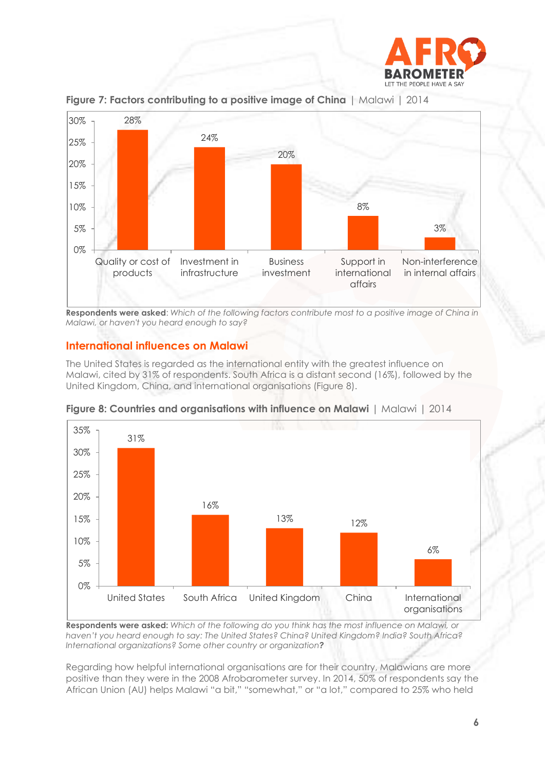



**Figure 7: Factors contributing to a positive image of China** | Malawi | 2014

**Respondents were asked**: *Which of the following factors contribute most to a positive image of China in Malawi, or haven't you heard enough to say?*

#### **International influences on Malawi**

The United States is regarded as the international entity with the greatest influence on Malawi, cited by 31% of respondents. South Africa is a distant second (16%), followed by the United Kingdom, China, and international organisations (Figure 8).



**Figure 8: Countries and organisations with influence on Malawi** | Malawi | 2014

**Respondents were asked:** *Which of the following do you think has the most influence on Malawi, or haven't you heard enough to say: The United States? China? United Kingdom? India? South Africa? International organizations? Some other country or organization?*

Regarding how helpful international organisations are for their country, Malawians are more positive than they were in the 2008 Afrobarometer survey. In 2014, 50% of respondents say the African Union (AU) helps Malawi "a bit," "somewhat," or "a lot," compared to 25% who held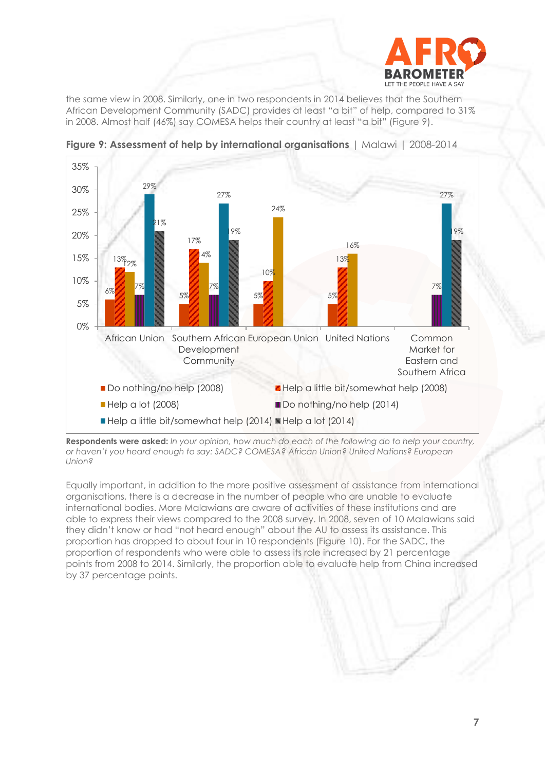

the same view in 2008. Similarly, one in two respondents in 2014 believes that the Southern African Development Community (SADC) provides at least "a bit" of help, compared to 31% in 2008. Almost half (46%) say COMESA helps their country at least "a bit" (Figure 9).



**Figure 9: Assessment of help by international organisations** | Malawi | 2008-2014

**Respondents were asked:** *In your opinion, how much do each of the following do to help your country, or haven't you heard enough to say: SADC? COMESA? African Union? United Nations? European Union?* 

Equally important, in addition to the more positive assessment of assistance from international organisations, there is a decrease in the number of people who are unable to evaluate international bodies. More Malawians are aware of activities of these institutions and are able to express their views compared to the 2008 survey. In 2008, seven of 10 Malawians said they didn't know or had "not heard enough" about the AU to assess its assistance. This proportion has dropped to about four in 10 respondents (Figure 10). For the SADC, the proportion of respondents who were able to assess its role increased by 21 percentage points from 2008 to 2014. Similarly, the proportion able to evaluate help from China increased by 37 percentage points.